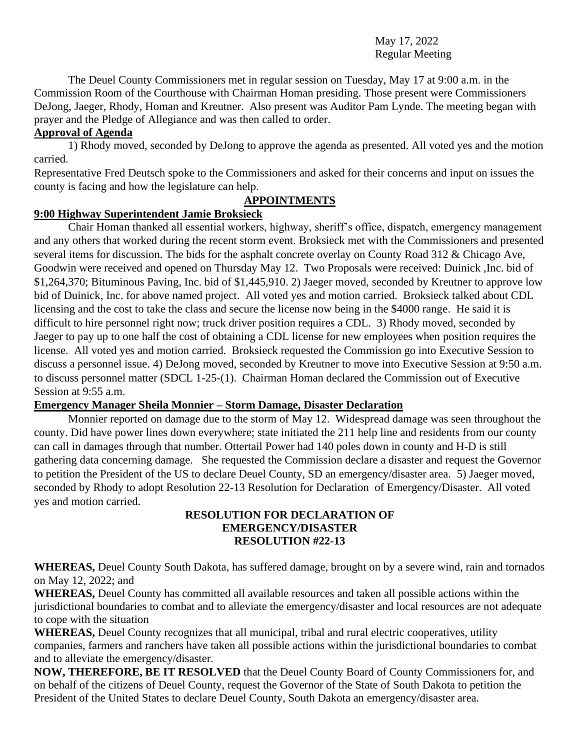### May 17, 2022 Regular Meeting

The Deuel County Commissioners met in regular session on Tuesday, May 17 at 9:00 a.m. in the Commission Room of the Courthouse with Chairman Homan presiding. Those present were Commissioners DeJong, Jaeger, Rhody, Homan and Kreutner. Also present was Auditor Pam Lynde. The meeting began with prayer and the Pledge of Allegiance and was then called to order.

### **Approval of Agenda**

1) Rhody moved, seconded by DeJong to approve the agenda as presented. All voted yes and the motion carried.

Representative Fred Deutsch spoke to the Commissioners and asked for their concerns and input on issues the county is facing and how the legislature can help.

### **APPOINTMENTS**

# **9:00 Highway Superintendent Jamie Broksieck**

Chair Homan thanked all essential workers, highway, sheriff's office, dispatch, emergency management and any others that worked during the recent storm event. Broksieck met with the Commissioners and presented several items for discussion. The bids for the asphalt concrete overlay on County Road 312 & Chicago Ave, Goodwin were received and opened on Thursday May 12. Two Proposals were received: Duinick ,Inc. bid of \$1,264,370; Bituminous Paving, Inc. bid of \$1,445,910. 2) Jaeger moved, seconded by Kreutner to approve low bid of Duinick, Inc. for above named project. All voted yes and motion carried. Broksieck talked about CDL licensing and the cost to take the class and secure the license now being in the \$4000 range. He said it is difficult to hire personnel right now; truck driver position requires a CDL. 3) Rhody moved, seconded by Jaeger to pay up to one half the cost of obtaining a CDL license for new employees when position requires the license. All voted yes and motion carried. Broksieck requested the Commission go into Executive Session to discuss a personnel issue. 4) DeJong moved, seconded by Kreutner to move into Executive Session at 9:50 a.m. to discuss personnel matter (SDCL 1-25-(1). Chairman Homan declared the Commission out of Executive Session at 9:55 a.m.

### **Emergency Manager Sheila Monnier – Storm Damage, Disaster Declaration**

Monnier reported on damage due to the storm of May 12. Widespread damage was seen throughout the county. Did have power lines down everywhere; state initiated the 211 help line and residents from our county can call in damages through that number. Ottertail Power had 140 poles down in county and H-D is still gathering data concerning damage. She requested the Commission declare a disaster and request the Governor to petition the President of the US to declare Deuel County, SD an emergency/disaster area. 5) Jaeger moved, seconded by Rhody to adopt Resolution 22-13 Resolution for Declaration of Emergency/Disaster. All voted yes and motion carried.

#### **RESOLUTION FOR DECLARATION OF EMERGENCY/DISASTER RESOLUTION #22-13**

**WHEREAS,** Deuel County South Dakota, has suffered damage, brought on by a severe wind, rain and tornados on May 12, 2022; and

**WHEREAS,** Deuel County has committed all available resources and taken all possible actions within the jurisdictional boundaries to combat and to alleviate the emergency/disaster and local resources are not adequate to cope with the situation

**WHEREAS,** Deuel County recognizes that all municipal, tribal and rural electric cooperatives, utility companies, farmers and ranchers have taken all possible actions within the jurisdictional boundaries to combat and to alleviate the emergency/disaster.

**NOW, THEREFORE, BE IT RESOLVED** that the Deuel County Board of County Commissioners for, and on behalf of the citizens of Deuel County, request the Governor of the State of South Dakota to petition the President of the United States to declare Deuel County, South Dakota an emergency/disaster area.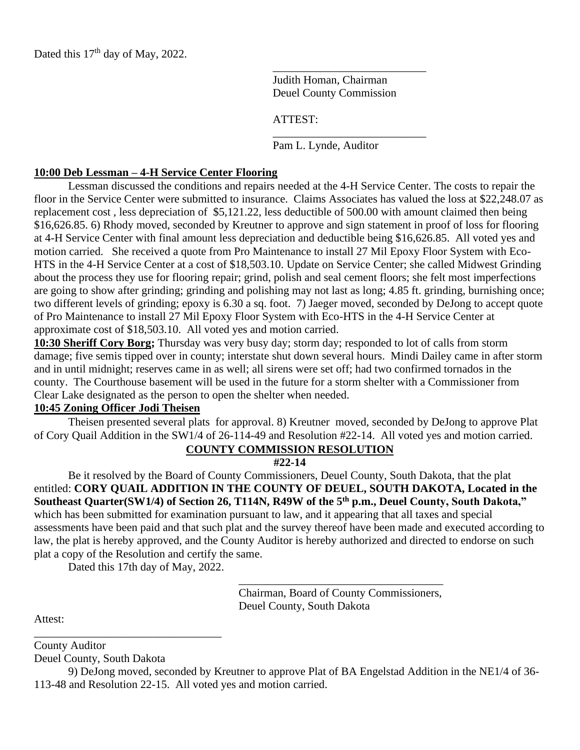Dated this 17<sup>th</sup> day of May, 2022.

Judith Homan, Chairman Deuel County Commission

\_\_\_\_\_\_\_\_\_\_\_\_\_\_\_\_\_\_\_\_\_\_\_\_\_\_\_

\_\_\_\_\_\_\_\_\_\_\_\_\_\_\_\_\_\_\_\_\_\_\_\_\_\_\_

ATTEST:

Pam L. Lynde, Auditor

#### **10:00 Deb Lessman – 4-H Service Center Flooring**

Lessman discussed the conditions and repairs needed at the 4-H Service Center. The costs to repair the floor in the Service Center were submitted to insurance. Claims Associates has valued the loss at \$22,248.07 as replacement cost , less depreciation of \$5,121.22, less deductible of 500.00 with amount claimed then being \$16,626.85. 6) Rhody moved, seconded by Kreutner to approve and sign statement in proof of loss for flooring at 4-H Service Center with final amount less depreciation and deductible being \$16,626.85. All voted yes and motion carried. She received a quote from Pro Maintenance to install 27 Mil Epoxy Floor System with Eco-HTS in the 4-H Service Center at a cost of \$18,503.10. Update on Service Center; she called Midwest Grinding about the process they use for flooring repair; grind, polish and seal cement floors; she felt most imperfections are going to show after grinding; grinding and polishing may not last as long; 4.85 ft. grinding, burnishing once; two different levels of grinding; epoxy is 6.30 a sq. foot. 7) Jaeger moved, seconded by DeJong to accept quote of Pro Maintenance to install 27 Mil Epoxy Floor System with Eco-HTS in the 4-H Service Center at approximate cost of \$18,503.10. All voted yes and motion carried.

**10:30 Sheriff Cory Borg;** Thursday was very busy day; storm day; responded to lot of calls from storm damage; five semis tipped over in county; interstate shut down several hours. Mindi Dailey came in after storm and in until midnight; reserves came in as well; all sirens were set off; had two confirmed tornados in the county. The Courthouse basement will be used in the future for a storm shelter with a Commissioner from Clear Lake designated as the person to open the shelter when needed.

#### **10:45 Zoning Officer Jodi Theisen**

Theisen presented several plats for approval. 8) Kreutner moved, seconded by DeJong to approve Plat of Cory Quail Addition in the SW1/4 of 26-114-49 and Resolution #22-14. All voted yes and motion carried.

# **COUNTY COMMISSION RESOLUTION**

**#22-14**

Be it resolved by the Board of County Commissioners, Deuel County, South Dakota, that the plat entitled: **CORY QUAIL ADDITION IN THE COUNTY OF DEUEL, SOUTH DAKOTA, Located in the Southeast Quarter(SW1/4) of Section 26, T114N, R49W of the 5th p.m., Deuel County, South Dakota,"** which has been submitted for examination pursuant to law, and it appearing that all taxes and special assessments have been paid and that such plat and the survey thereof have been made and executed according to law, the plat is hereby approved, and the County Auditor is hereby authorized and directed to endorse on such plat a copy of the Resolution and certify the same.

Dated this 17th day of May, 2022.

\_\_\_\_\_\_\_\_\_\_\_\_\_\_\_\_\_\_\_\_\_\_\_\_\_\_\_\_\_\_\_\_\_

Chairman, Board of County Commissioners, Deuel County, South Dakota

\_\_\_\_\_\_\_\_\_\_\_\_\_\_\_\_\_\_\_\_\_\_\_\_\_\_\_\_\_\_\_\_\_\_\_\_

Attest:

County Auditor

Deuel County, South Dakota

9) DeJong moved, seconded by Kreutner to approve Plat of BA Engelstad Addition in the NE1/4 of 36- 113-48 and Resolution 22-15. All voted yes and motion carried.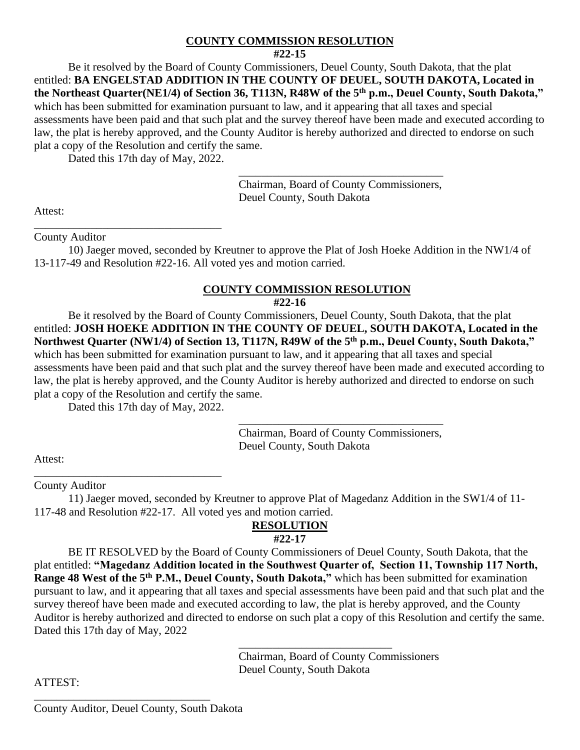### **COUNTY COMMISSION RESOLUTION**

Be it resolved by the Board of County Commissioners, Deuel County, South Dakota, that the plat entitled: **BA ENGELSTAD ADDITION IN THE COUNTY OF DEUEL, SOUTH DAKOTA, Located in the Northeast Quarter(NE1/4) of Section 36, T113N, R48W of the 5th p.m., Deuel County, South Dakota,"** which has been submitted for examination pursuant to law, and it appearing that all taxes and special assessments have been paid and that such plat and the survey thereof have been made and executed according to law, the plat is hereby approved, and the County Auditor is hereby authorized and directed to endorse on such plat a copy of the Resolution and certify the same.

Dated this 17th day of May, 2022.

Chairman, Board of County Commissioners, Deuel County, South Dakota

\_\_\_\_\_\_\_\_\_\_\_\_\_\_\_\_\_\_\_\_\_\_\_\_\_\_\_\_\_\_\_\_\_\_\_\_

Attest:

\_\_\_\_\_\_\_\_\_\_\_\_\_\_\_\_\_\_\_\_\_\_\_\_\_\_\_\_\_\_\_\_\_ County Auditor

10) Jaeger moved, seconded by Kreutner to approve the Plat of Josh Hoeke Addition in the NW1/4 of 13-117-49 and Resolution #22-16. All voted yes and motion carried.

### **COUNTY COMMISSION RESOLUTION**

**#22-16**

Be it resolved by the Board of County Commissioners, Deuel County, South Dakota, that the plat entitled: **JOSH HOEKE ADDITION IN THE COUNTY OF DEUEL, SOUTH DAKOTA, Located in the Northwest Quarter (NW1/4) of Section 13, T117N, R49W of the 5th p.m., Deuel County, South Dakota,"** which has been submitted for examination pursuant to law, and it appearing that all taxes and special assessments have been paid and that such plat and the survey thereof have been made and executed according to law, the plat is hereby approved, and the County Auditor is hereby authorized and directed to endorse on such plat a copy of the Resolution and certify the same.

Dated this 17th day of May, 2022.

\_\_\_\_\_\_\_\_\_\_\_\_\_\_\_\_\_\_\_\_\_\_\_\_\_\_\_\_\_\_\_\_\_

\_\_\_\_\_\_\_\_\_\_\_\_\_\_\_\_\_\_\_\_\_\_\_\_\_\_\_\_\_\_\_\_\_\_\_\_ Chairman, Board of County Commissioners, Deuel County, South Dakota

Attest:

County Auditor

11) Jaeger moved, seconded by Kreutner to approve Plat of Magedanz Addition in the SW1/4 of 11- 117-48 and Resolution #22-17. All voted yes and motion carried.

# **RESOLUTION**

# **#22-17**

BE IT RESOLVED by the Board of County Commissioners of Deuel County, South Dakota, that the plat entitled: **"Magedanz Addition located in the Southwest Quarter of, Section 11, Township 117 North, Range 48 West of the 5th P.M., Deuel County, South Dakota,"** which has been submitted for examination pursuant to law, and it appearing that all taxes and special assessments have been paid and that such plat and the survey thereof have been made and executed according to law, the plat is hereby approved, and the County Auditor is hereby authorized and directed to endorse on such plat a copy of this Resolution and certify the same. Dated this 17th day of May, 2022

> \_\_\_\_\_\_\_\_\_\_\_\_\_\_\_\_\_\_\_\_\_\_\_\_\_\_\_ Chairman, Board of County Commissioners Deuel County, South Dakota

ATTEST:

\_\_\_\_\_\_\_\_\_\_\_\_\_\_\_\_\_\_\_\_\_\_\_\_\_\_\_\_\_\_\_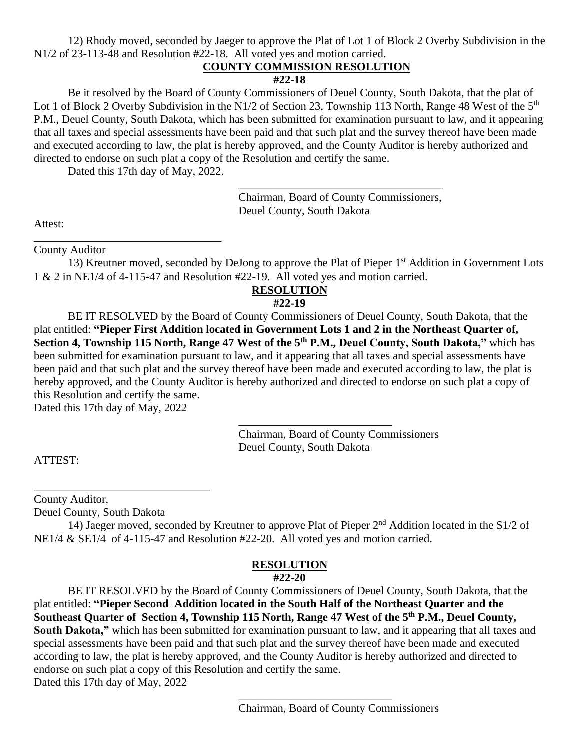12) Rhody moved, seconded by Jaeger to approve the Plat of Lot 1 of Block 2 Overby Subdivision in the N1/2 of 23-113-48 and Resolution #22-18. All voted yes and motion carried.

### **COUNTY COMMISSION RESOLUTION**

### **#22-18**

Be it resolved by the Board of County Commissioners of Deuel County, South Dakota, that the plat of Lot 1 of Block 2 Overby Subdivision in the N1/2 of Section 23, Township 113 North, Range 48 West of the 5<sup>th</sup> P.M., Deuel County, South Dakota, which has been submitted for examination pursuant to law, and it appearing that all taxes and special assessments have been paid and that such plat and the survey thereof have been made and executed according to law, the plat is hereby approved, and the County Auditor is hereby authorized and directed to endorse on such plat a copy of the Resolution and certify the same.

Dated this 17th day of May, 2022.

\_\_\_\_\_\_\_\_\_\_\_\_\_\_\_\_\_\_\_\_\_\_\_\_\_\_\_\_\_\_\_\_\_

Chairman, Board of County Commissioners, Deuel County, South Dakota

\_\_\_\_\_\_\_\_\_\_\_\_\_\_\_\_\_\_\_\_\_\_\_\_\_\_\_\_\_\_\_\_\_\_\_\_

Attest:

County Auditor

13) Kreutner moved, seconded by DeJong to approve the Plat of Pieper 1<sup>st</sup> Addition in Government Lots 1 & 2 in NE1/4 of 4-115-47 and Resolution #22-19. All voted yes and motion carried.

#### **RESOLUTION**

### **#22-19**

BE IT RESOLVED by the Board of County Commissioners of Deuel County, South Dakota, that the plat entitled: **"Pieper First Addition located in Government Lots 1 and 2 in the Northeast Quarter of, Section 4, Township 115 North, Range 47 West of the 5th P.M., Deuel County, South Dakota,"** which has been submitted for examination pursuant to law, and it appearing that all taxes and special assessments have been paid and that such plat and the survey thereof have been made and executed according to law, the plat is hereby approved, and the County Auditor is hereby authorized and directed to endorse on such plat a copy of this Resolution and certify the same.

Dated this 17th day of May, 2022

Chairman, Board of County Commissioners Deuel County, South Dakota

\_\_\_\_\_\_\_\_\_\_\_\_\_\_\_\_\_\_\_\_\_\_\_\_\_\_\_

ATTEST:

County Auditor,

Deuel County, South Dakota

\_\_\_\_\_\_\_\_\_\_\_\_\_\_\_\_\_\_\_\_\_\_\_\_\_\_\_\_\_\_\_

14) Jaeger moved, seconded by Kreutner to approve Plat of Pieper 2nd Addition located in the S1/2 of NE1/4 & SE1/4 of 4-115-47 and Resolution #22-20. All voted yes and motion carried.

# **RESOLUTION**

#### **#22-20**

BE IT RESOLVED by the Board of County Commissioners of Deuel County, South Dakota, that the plat entitled: **"Pieper Second Addition located in the South Half of the Northeast Quarter and the Southeast Quarter of Section 4, Township 115 North, Range 47 West of the 5th P.M., Deuel County, South Dakota,"** which has been submitted for examination pursuant to law, and it appearing that all taxes and special assessments have been paid and that such plat and the survey thereof have been made and executed according to law, the plat is hereby approved, and the County Auditor is hereby authorized and directed to endorse on such plat a copy of this Resolution and certify the same. Dated this 17th day of May, 2022

\_\_\_\_\_\_\_\_\_\_\_\_\_\_\_\_\_\_\_\_\_\_\_\_\_\_\_